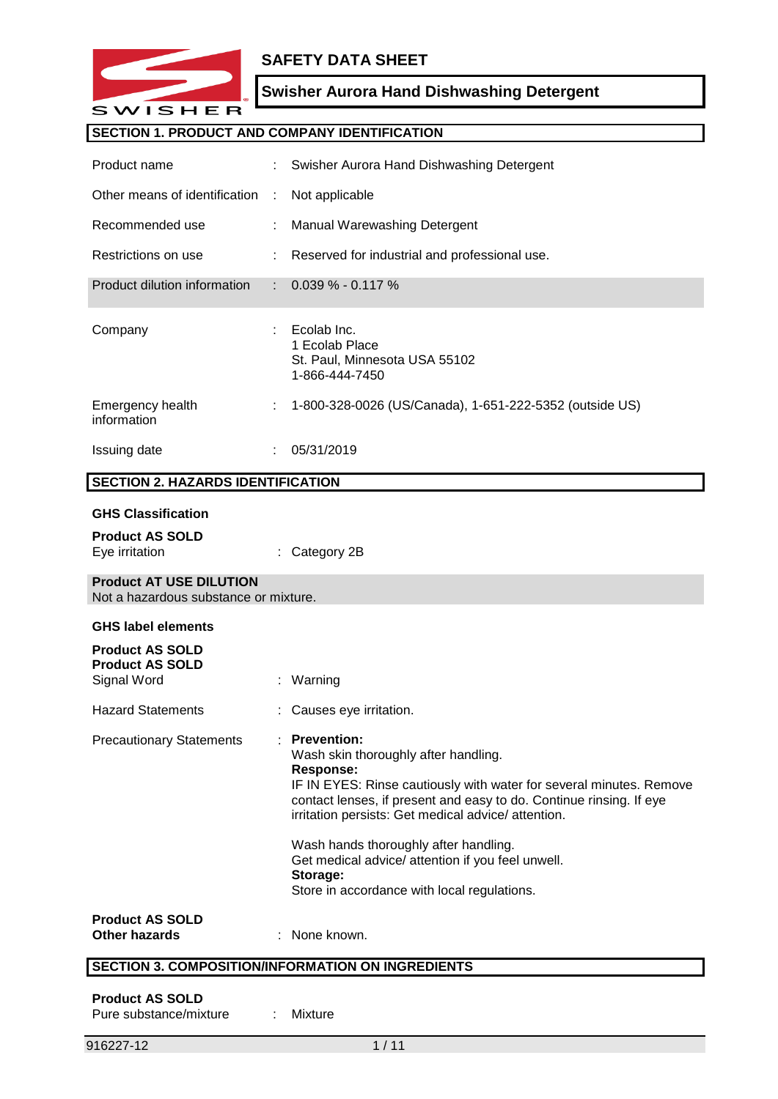

## **SAFETY DATA SHEET**

# **Swisher Aurora Hand Dishwashing Detergent**

## **SECTION 1. PRODUCT AND COMPANY IDENTIFICATION**

| Product name                                                            |    | Swisher Aurora Hand Dishwashing Detergent                                                                                                                                                                                                                                                                                                                                                     |
|-------------------------------------------------------------------------|----|-----------------------------------------------------------------------------------------------------------------------------------------------------------------------------------------------------------------------------------------------------------------------------------------------------------------------------------------------------------------------------------------------|
| Other means of identification                                           | ÷  | Not applicable                                                                                                                                                                                                                                                                                                                                                                                |
| Recommended use                                                         |    | Manual Warewashing Detergent                                                                                                                                                                                                                                                                                                                                                                  |
| Restrictions on use                                                     |    | Reserved for industrial and professional use.                                                                                                                                                                                                                                                                                                                                                 |
| Product dilution information                                            |    | $0.039\% - 0.117\%$                                                                                                                                                                                                                                                                                                                                                                           |
| Company                                                                 |    | Ecolab Inc.<br>1 Ecolab Place<br>St. Paul, Minnesota USA 55102<br>1-866-444-7450                                                                                                                                                                                                                                                                                                              |
| Emergency health<br>information                                         | ÷  | 1-800-328-0026 (US/Canada), 1-651-222-5352 (outside US)                                                                                                                                                                                                                                                                                                                                       |
| <b>Issuing date</b>                                                     |    | 05/31/2019                                                                                                                                                                                                                                                                                                                                                                                    |
| <b>SECTION 2. HAZARDS IDENTIFICATION</b>                                |    |                                                                                                                                                                                                                                                                                                                                                                                               |
|                                                                         |    |                                                                                                                                                                                                                                                                                                                                                                                               |
| <b>GHS Classification</b>                                               |    |                                                                                                                                                                                                                                                                                                                                                                                               |
| <b>Product AS SOLD</b><br>Eye irritation                                |    | Category 2B                                                                                                                                                                                                                                                                                                                                                                                   |
| <b>Product AT USE DILUTION</b><br>Not a hazardous substance or mixture. |    |                                                                                                                                                                                                                                                                                                                                                                                               |
| <b>GHS label elements</b>                                               |    |                                                                                                                                                                                                                                                                                                                                                                                               |
| <b>Product AS SOLD</b><br><b>Product AS SOLD</b><br>Signal Word         | ÷. | Warning                                                                                                                                                                                                                                                                                                                                                                                       |
| <b>Hazard Statements</b>                                                |    | Causes eye irritation.                                                                                                                                                                                                                                                                                                                                                                        |
| <b>Precautionary Statements</b>                                         |    | <b>Prevention:</b><br>Wash skin thoroughly after handling.<br><b>Response:</b><br>IF IN EYES: Rinse cautiously with water for several minutes. Remove<br>contact lenses, if present and easy to do. Continue rinsing. If eye<br>irritation persists: Get medical advice/ attention.<br>Wash hands thoroughly after handling.<br>Get medical advice/ attention if you feel unwell.<br>Storage: |
|                                                                         |    | Store in accordance with local regulations.                                                                                                                                                                                                                                                                                                                                                   |
| <b>Product AS SOLD</b><br><b>Other hazards</b>                          |    | None known.                                                                                                                                                                                                                                                                                                                                                                                   |

# **SECTION 3. COMPOSITION/INFORMATION ON INGREDIENTS**

## **Product AS SOLD**

| Pure substance/mixture |  | Mixture |
|------------------------|--|---------|
|------------------------|--|---------|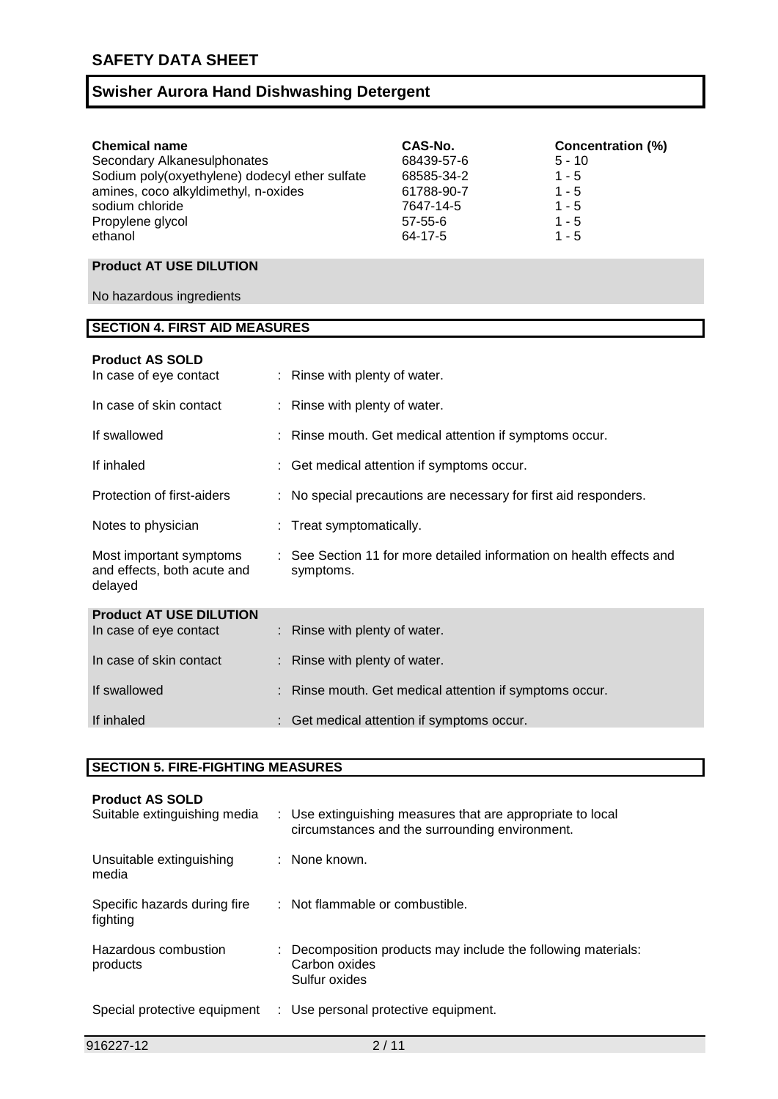| <b>Chemical name</b>                           | CAS-No.    | <b>Concentration (%)</b> |
|------------------------------------------------|------------|--------------------------|
| Secondary Alkanesulphonates                    | 68439-57-6 | $5 - 10$                 |
| Sodium poly(oxyethylene) dodecyl ether sulfate | 68585-34-2 | $1 - 5$                  |
| amines, coco alkyldimethyl, n-oxides           | 61788-90-7 | $1 - 5$                  |
| sodium chloride                                | 7647-14-5  | $1 - 5$                  |
| Propylene glycol                               | 57-55-6    | 1 - 5                    |
| ethanol                                        | 64-17-5    | $1 - 5$                  |

## **Product AT USE DILUTION**

No hazardous ingredients

# **SECTION 4. FIRST AID MEASURES**

| <b>Product AS SOLD</b><br>In case of eye contact                  | : Rinse with plenty of water.                                                     |
|-------------------------------------------------------------------|-----------------------------------------------------------------------------------|
| In case of skin contact                                           | : Rinse with plenty of water.                                                     |
| If swallowed                                                      | : Rinse mouth. Get medical attention if symptoms occur.                           |
| If inhaled                                                        | : Get medical attention if symptoms occur.                                        |
| Protection of first-aiders                                        | : No special precautions are necessary for first aid responders.                  |
| Notes to physician                                                | : Treat symptomatically.                                                          |
| Most important symptoms<br>and effects, both acute and<br>delayed | : See Section 11 for more detailed information on health effects and<br>symptoms. |
| <b>Product AT USE DILUTION</b>                                    |                                                                                   |
| In case of eye contact                                            | : Rinse with plenty of water.                                                     |
| In case of skin contact                                           | : Rinse with plenty of water.                                                     |
| If swallowed                                                      | : Rinse mouth. Get medical attention if symptoms occur.                           |
| If inhaled                                                        | : Get medical attention if symptoms occur.                                        |
|                                                                   |                                                                                   |

### **SECTION 5. FIRE-FIGHTING MEASURES**

| <b>Product AS SOLD</b><br>Suitable extinguishing media | : Use extinguishing measures that are appropriate to local<br>circumstances and the surrounding environment. |
|--------------------------------------------------------|--------------------------------------------------------------------------------------------------------------|
| Unsuitable extinguishing<br>media                      | : None known.                                                                                                |
| Specific hazards during fire<br>fighting               | : Not flammable or combustible.                                                                              |
| Hazardous combustion<br>products                       | : Decomposition products may include the following materials:<br>Carbon oxides<br>Sulfur oxides              |
| Special protective equipment                           | : Use personal protective equipment.                                                                         |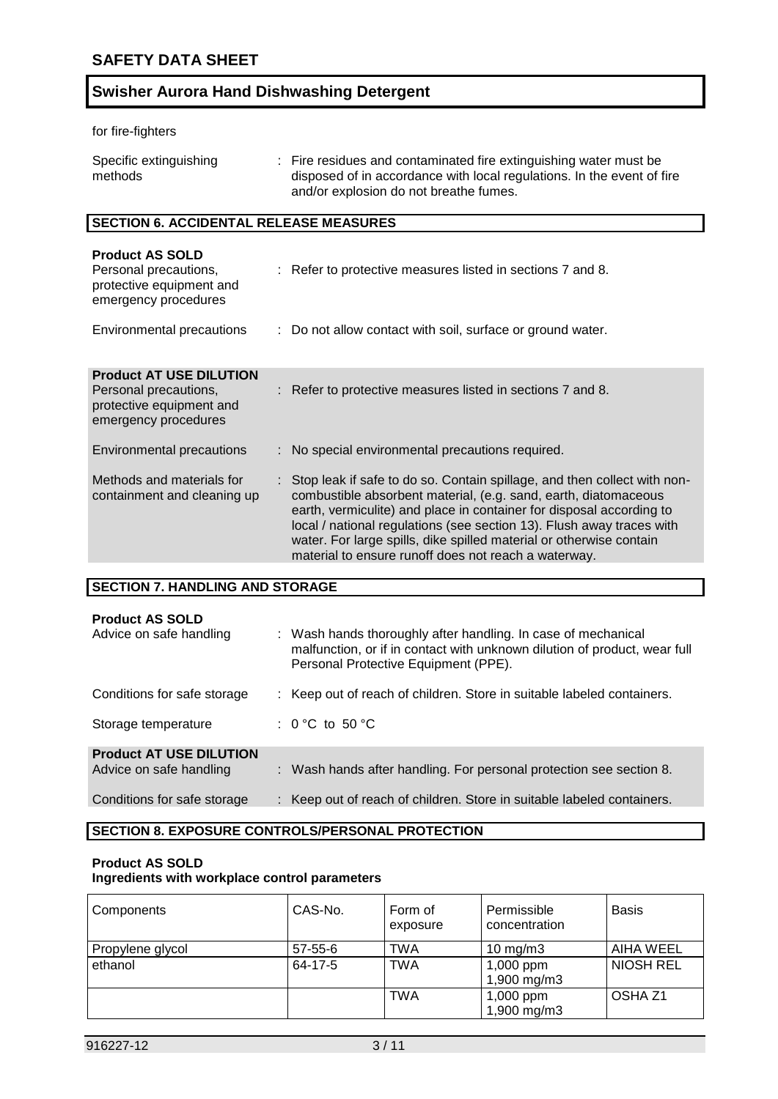for fire-fighters

| Specific extinguishing<br>methods | : Fire residues and contaminated fire extinguishing water must be<br>disposed of in accordance with local regulations. In the event of fire<br>and/or explosion do not breathe fumes. |
|-----------------------------------|---------------------------------------------------------------------------------------------------------------------------------------------------------------------------------------|
|                                   |                                                                                                                                                                                       |

## **SECTION 6. ACCIDENTAL RELEASE MEASURES**

| <b>Product AS SOLD</b><br>Personal precautions,<br>protective equipment and<br>emergency procedures         | : Refer to protective measures listed in sections 7 and 8.                                                                                                                                                                                                                                                                                                                                                                    |
|-------------------------------------------------------------------------------------------------------------|-------------------------------------------------------------------------------------------------------------------------------------------------------------------------------------------------------------------------------------------------------------------------------------------------------------------------------------------------------------------------------------------------------------------------------|
| Environmental precautions                                                                                   | : Do not allow contact with soil, surface or ground water.                                                                                                                                                                                                                                                                                                                                                                    |
| <b>Product AT USE DILUTION</b><br>Personal precautions,<br>protective equipment and<br>emergency procedures | : Refer to protective measures listed in sections 7 and 8.                                                                                                                                                                                                                                                                                                                                                                    |
| Environmental precautions                                                                                   | : No special environmental precautions required.                                                                                                                                                                                                                                                                                                                                                                              |
| Methods and materials for<br>containment and cleaning up                                                    | : Stop leak if safe to do so. Contain spillage, and then collect with non-<br>combustible absorbent material, (e.g. sand, earth, diatomaceous<br>earth, vermiculite) and place in container for disposal according to<br>local / national regulations (see section 13). Flush away traces with<br>water. For large spills, dike spilled material or otherwise contain<br>material to ensure runoff does not reach a waterway. |
|                                                                                                             |                                                                                                                                                                                                                                                                                                                                                                                                                               |

### **SECTION 7. HANDLING AND STORAGE**

### **Product AS SOLD**

| PIUUUU AJ JULD<br>Advice on safe handling                 | : Wash hands thoroughly after handling. In case of mechanical<br>malfunction, or if in contact with unknown dilution of product, wear full<br>Personal Protective Equipment (PPE). |
|-----------------------------------------------------------|------------------------------------------------------------------------------------------------------------------------------------------------------------------------------------|
| Conditions for safe storage                               | : Keep out of reach of children. Store in suitable labeled containers.                                                                                                             |
| Storage temperature                                       | : 0 °C to 50 °C                                                                                                                                                                    |
| <b>Product AT USE DILUTION</b><br>Advice on safe handling | : Wash hands after handling. For personal protection see section 8.                                                                                                                |
| Conditions for safe storage                               | : Keep out of reach of children. Store in suitable labeled containers.                                                                                                             |

### **SECTION 8. EXPOSURE CONTROLS/PERSONAL PROTECTION**

### **Product AS SOLD Ingredients with workplace control parameters**

| Components       | CAS-No.       | Form of<br>exposure | Permissible<br>concentration | <b>Basis</b>       |
|------------------|---------------|---------------------|------------------------------|--------------------|
| Propylene glycol | $57 - 55 - 6$ | <b>TWA</b>          | 10 mg/m $3$                  | AIHA WEEL          |
| ethanol          | 64-17-5       | <b>TWA</b>          | $1,000$ ppm                  | NIOSH REL          |
|                  |               |                     | 1,900 mg/m3                  |                    |
|                  |               | <b>TWA</b>          | 1,000 ppm<br>1,900 mg/m3     | OSHA <sub>Z1</sub> |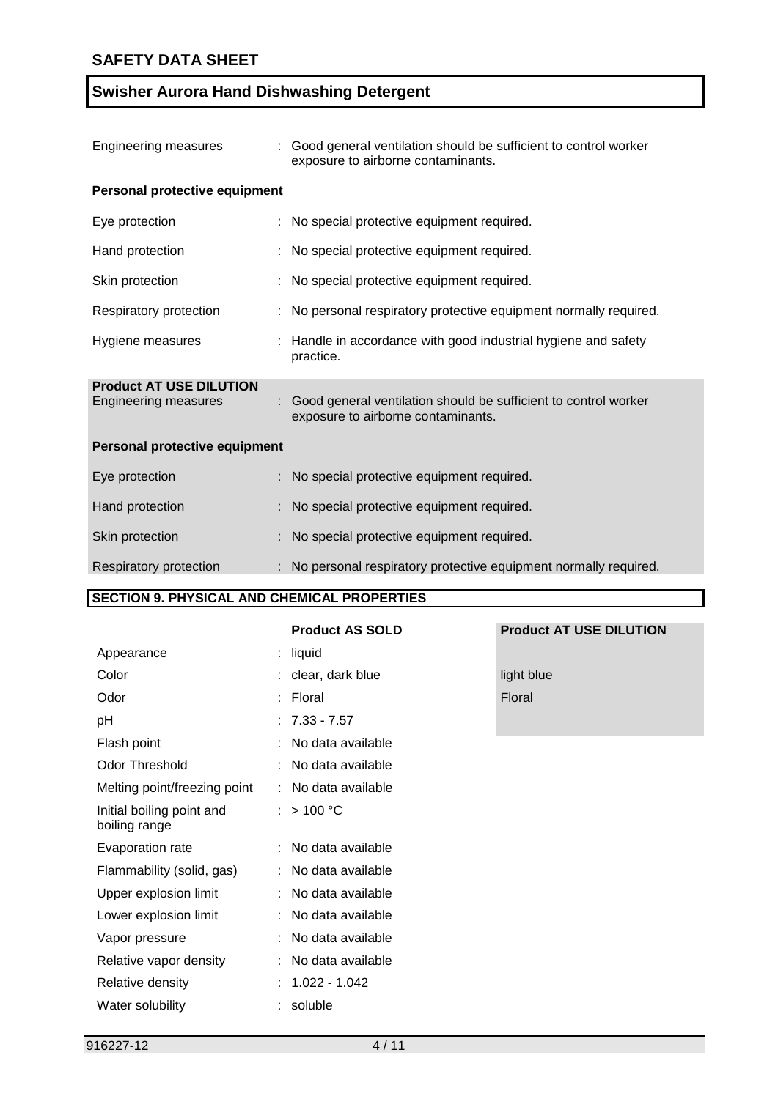| Engineering measures                                          | : Good general ventilation should be sufficient to control worker<br>exposure to airborne contaminants. |
|---------------------------------------------------------------|---------------------------------------------------------------------------------------------------------|
| Personal protective equipment                                 |                                                                                                         |
| Eye protection                                                | : No special protective equipment required.                                                             |
| Hand protection                                               | No special protective equipment required.                                                               |
| Skin protection                                               | No special protective equipment required.                                                               |
| Respiratory protection                                        | No personal respiratory protective equipment normally required.                                         |
| Hygiene measures                                              | Handle in accordance with good industrial hygiene and safety<br>practice.                               |
| <b>Product AT USE DILUTION</b><br><b>Engineering measures</b> | Good general ventilation should be sufficient to control worker<br>exposure to airborne contaminants.   |
| Personal protective equipment                                 |                                                                                                         |
| Eye protection                                                | : No special protective equipment required.                                                             |
| Hand protection                                               | : No special protective equipment required.                                                             |
| Skin protection                                               | No special protective equipment required.                                                               |
| Respiratory protection                                        | No personal respiratory protective equipment normally required.                                         |

## **SECTION 9. PHYSICAL AND CHEMICAL PROPERTIES**

## **Product AS SOLD Product AT USE DILUTION**

| Appearance                                 |   | : liquid            |               |
|--------------------------------------------|---|---------------------|---------------|
| Color                                      |   | : clear, dark blue  | light blue    |
| Odor                                       |   | : Floral            | <b>Floral</b> |
| рH                                         |   | $: 7.33 - 7.57$     |               |
| Flash point                                | ÷ | No data available   |               |
| <b>Odor Threshold</b>                      |   | : No data available |               |
| Melting point/freezing point               |   | : No data available |               |
| Initial boiling point and<br>boiling range |   | : $> 100 °C$        |               |
| Evaporation rate                           |   | : No data available |               |
| Flammability (solid, gas)                  |   | : No data available |               |
| Upper explosion limit                      |   | : No data available |               |
| Lower explosion limit                      |   | : No data available |               |
| Vapor pressure                             | ÷ | No data available   |               |
| Relative vapor density                     |   | : No data available |               |
| Relative density                           |   | 1.022 - 1.042       |               |
| Water solubility                           |   | soluble             |               |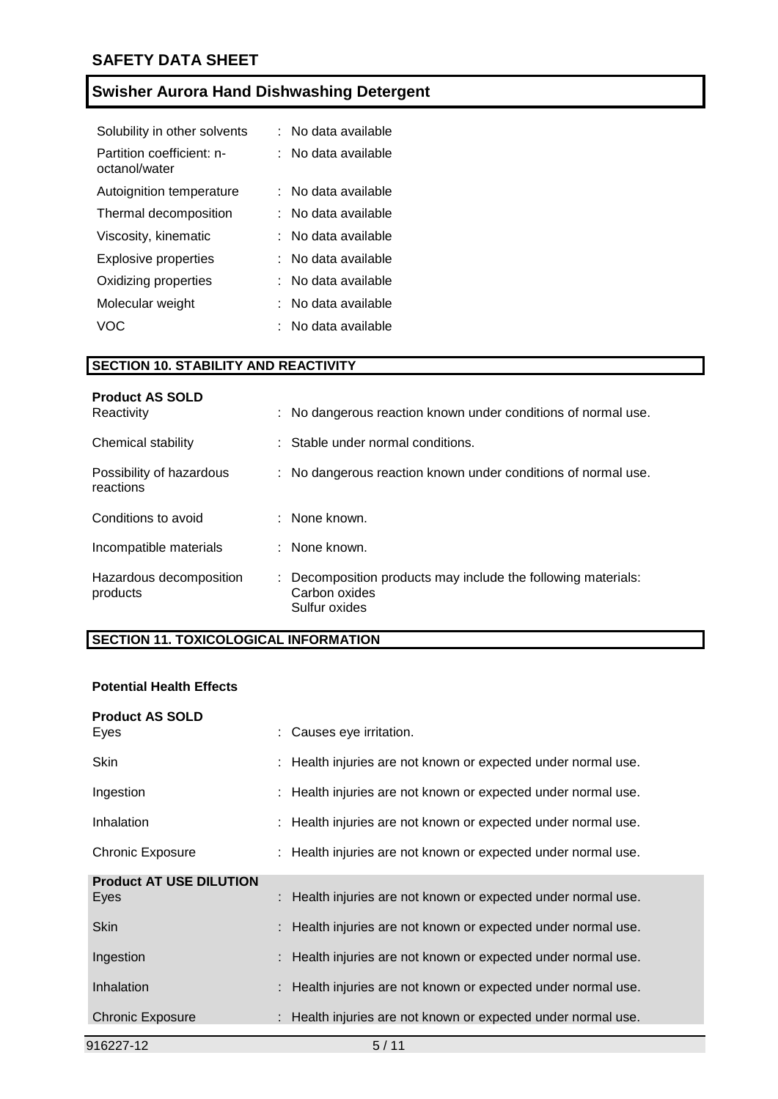| Solubility in other solvents               | : No data available   |
|--------------------------------------------|-----------------------|
| Partition coefficient: n-<br>octanol/water | : No data available   |
| Autoignition temperature                   | ∶   No data available |
| Thermal decomposition                      | : No data available   |
| Viscosity, kinematic                       | : No data available   |
| Explosive properties                       | : No data available   |
| Oxidizing properties                       | : No data available   |
| Molecular weight                           | : No data available   |
| VOC.                                       | . No data available   |

## **SECTION 10. STABILITY AND REACTIVITY**

| <b>Product AS SOLD</b><br>Reactivity  | : No dangerous reaction known under conditions of normal use.                                   |
|---------------------------------------|-------------------------------------------------------------------------------------------------|
| Chemical stability                    | : Stable under normal conditions.                                                               |
| Possibility of hazardous<br>reactions | : No dangerous reaction known under conditions of normal use.                                   |
| Conditions to avoid                   | $:$ None known.                                                                                 |
| Incompatible materials                | : None known.                                                                                   |
| Hazardous decomposition<br>products   | : Decomposition products may include the following materials:<br>Carbon oxides<br>Sulfur oxides |

## **SECTION 11. TOXICOLOGICAL INFORMATION**

## **Potential Health Effects**

| 916227-12                              | 5/11                                                          |
|----------------------------------------|---------------------------------------------------------------|
| <b>Chronic Exposure</b>                | : Health injuries are not known or expected under normal use. |
| <b>Inhalation</b>                      | : Health injuries are not known or expected under normal use. |
| Ingestion                              | : Health injuries are not known or expected under normal use. |
| Skin                                   | : Health injuries are not known or expected under normal use. |
| <b>Product AT USE DILUTION</b><br>Eyes | : Health injuries are not known or expected under normal use. |
| Chronic Exposure                       | : Health injuries are not known or expected under normal use. |
| <b>Inhalation</b>                      | : Health injuries are not known or expected under normal use. |
| Ingestion                              | : Health injuries are not known or expected under normal use. |
| <b>Skin</b>                            | : Health injuries are not known or expected under normal use. |
| <b>Product AS SOLD</b><br>Eyes         | : Causes eye irritation.                                      |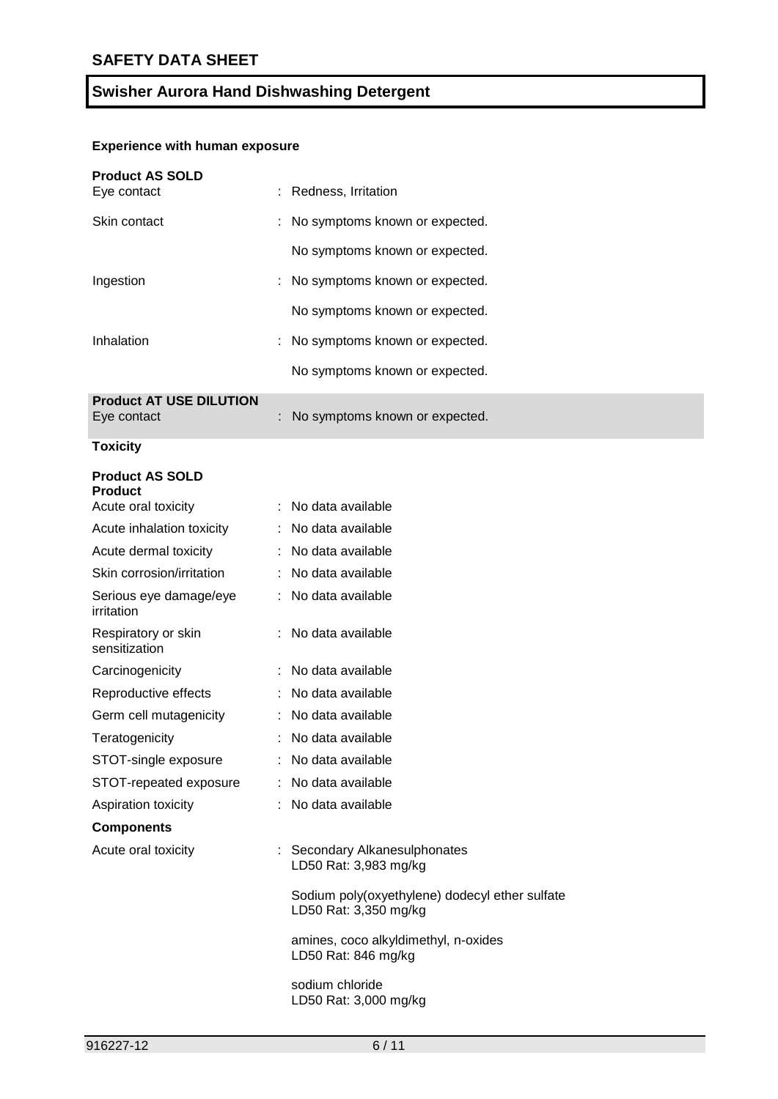## **Experience with human exposure**

| <b>Product AS SOLD</b><br>Eye contact                           | : Redness, Irritation                                                   |
|-----------------------------------------------------------------|-------------------------------------------------------------------------|
| Skin contact                                                    | No symptoms known or expected.                                          |
|                                                                 | No symptoms known or expected.                                          |
| Ingestion                                                       | No symptoms known or expected.                                          |
|                                                                 | No symptoms known or expected.                                          |
| Inhalation                                                      | No symptoms known or expected.                                          |
|                                                                 | No symptoms known or expected.                                          |
| <b>Product AT USE DILUTION</b><br>Eye contact                   | No symptoms known or expected.                                          |
| <b>Toxicity</b>                                                 |                                                                         |
| <b>Product AS SOLD</b><br><b>Product</b><br>Acute oral toxicity | : No data available                                                     |
| Acute inhalation toxicity                                       | : No data available                                                     |
| Acute dermal toxicity                                           | : No data available                                                     |
| Skin corrosion/irritation                                       | No data available                                                       |
| Serious eye damage/eye<br><i>irritation</i>                     | : No data available                                                     |
| Respiratory or skin<br>sensitization                            | No data available                                                       |
| Carcinogenicity                                                 | : No data available                                                     |
| Reproductive effects                                            | : No data available                                                     |
| Germ cell mutagenicity                                          | : No data available                                                     |
| Teratogenicity                                                  | No data available                                                       |
| STOT-single exposure                                            | : No data available                                                     |
| STOT-repeated exposure                                          | : No data available                                                     |
| Aspiration toxicity                                             | : No data available                                                     |
| <b>Components</b>                                               |                                                                         |
| Acute oral toxicity                                             | : Secondary Alkanesulphonates<br>LD50 Rat: 3,983 mg/kg                  |
|                                                                 | Sodium poly(oxyethylene) dodecyl ether sulfate<br>LD50 Rat: 3,350 mg/kg |
|                                                                 | amines, coco alkyldimethyl, n-oxides<br>LD50 Rat: 846 mg/kg             |
|                                                                 | sodium chloride<br>LD50 Rat: 3,000 mg/kg                                |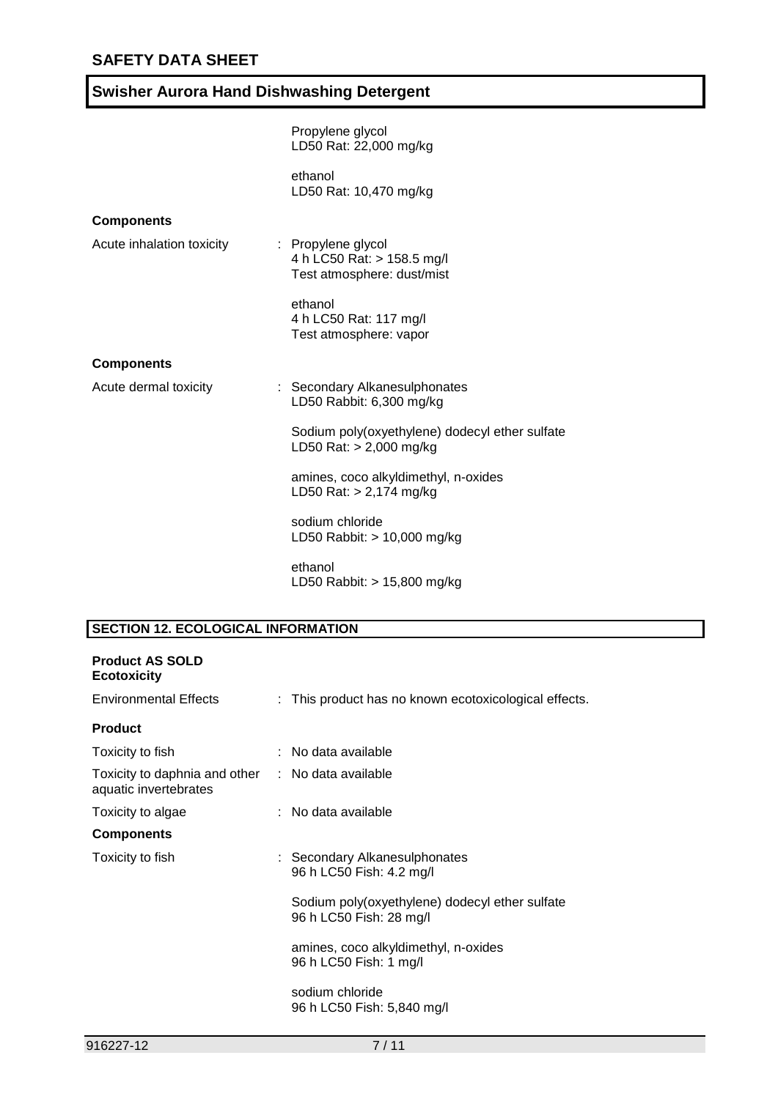|                           | Propylene glycol<br>LD50 Rat: 22,000 mg/kg                                     |
|---------------------------|--------------------------------------------------------------------------------|
|                           | ethanol<br>LD50 Rat: 10,470 mg/kg                                              |
| <b>Components</b>         |                                                                                |
| Acute inhalation toxicity | : Propylene glycol<br>4 h LC50 Rat: > 158.5 mg/l<br>Test atmosphere: dust/mist |
|                           | ethanol<br>4 h LC50 Rat: 117 mg/l<br>Test atmosphere: vapor                    |
| <b>Components</b>         |                                                                                |
| Acute dermal toxicity     | : Secondary Alkanesulphonates<br>LD50 Rabbit: 6,300 mg/kg                      |
|                           | Sodium poly(oxyethylene) dodecyl ether sulfate<br>LD50 Rat: $> 2,000$ mg/kg    |
|                           | amines, coco alkyldimethyl, n-oxides<br>LD50 Rat: $> 2,174$ mg/kg              |
|                           | sodium chloride<br>LD50 Rabbit: > 10,000 mg/kg                                 |
|                           | ethanol<br>LD50 Rabbit: > 15,800 mg/kg                                         |

## **SECTION 12. ECOLOGICAL INFORMATION**

| <b>Product AS SOLD</b><br><b>Ecotoxicity</b>                               |                                                                           |
|----------------------------------------------------------------------------|---------------------------------------------------------------------------|
| Environmental Effects                                                      | : This product has no known ecotoxicological effects.                     |
| <b>Product</b>                                                             |                                                                           |
| Toxicity to fish                                                           | : No data available                                                       |
| Toxicity to daphnia and other : No data available<br>aquatic invertebrates |                                                                           |
| Toxicity to algae                                                          | : No data available                                                       |
| <b>Components</b>                                                          |                                                                           |
| Toxicity to fish                                                           | : Secondary Alkanesulphonates<br>96 h LC50 Fish: 4.2 mg/l                 |
|                                                                            | Sodium poly(oxyethylene) dodecyl ether sulfate<br>96 h LC50 Fish: 28 mg/l |
|                                                                            | amines, coco alkyldimethyl, n-oxides<br>96 h LC50 Fish: 1 mg/l            |
|                                                                            | sodium chloride<br>96 h LC50 Fish: 5,840 mg/l                             |
|                                                                            |                                                                           |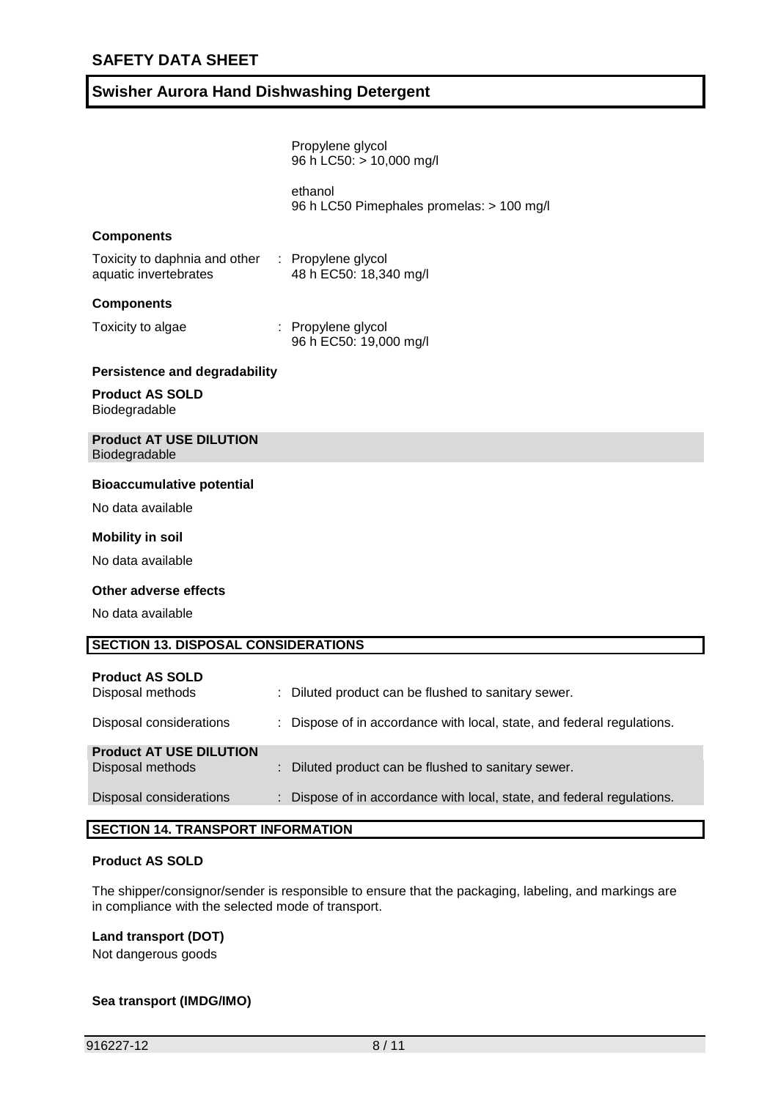| ethanol<br>96 h LC50 Pimephales promelas: > 100 mg/l                                                    |  |
|---------------------------------------------------------------------------------------------------------|--|
|                                                                                                         |  |
| <b>Components</b>                                                                                       |  |
| Toxicity to daphnia and other : Propylene glycol<br>aquatic invertebrates<br>48 h EC50: 18,340 mg/l     |  |
| <b>Components</b>                                                                                       |  |
| Toxicity to algae<br>: Propylene glycol<br>96 h EC50: 19,000 mg/l                                       |  |
| <b>Persistence and degradability</b>                                                                    |  |
| <b>Product AS SOLD</b><br>Biodegradable                                                                 |  |
| <b>Product AT USE DILUTION</b><br>Biodegradable                                                         |  |
| <b>Bioaccumulative potential</b>                                                                        |  |
| No data available                                                                                       |  |
| <b>Mobility in soil</b>                                                                                 |  |
| No data available                                                                                       |  |
| Other adverse effects                                                                                   |  |
| No data available                                                                                       |  |
| <b>SECTION 13. DISPOSAL CONSIDERATIONS</b>                                                              |  |
| <b>Product AS SOLD</b><br>Disposal methods<br>: Diluted product can be flushed to sanitary sewer.       |  |
| Disposal considerations<br>Dispose of in accordance with local, state, and federal regulations.         |  |
| <b>Product AT USE DILUTION</b><br>Disposal methods<br>Diluted product can be flushed to sanitary sewer. |  |
|                                                                                                         |  |

### **SECTION 14. TRANSPORT INFORMATION**

#### **Product AS SOLD**

The shipper/consignor/sender is responsible to ensure that the packaging, labeling, and markings are in compliance with the selected mode of transport.

### **Land transport (DOT)**

Not dangerous goods

## **Sea transport (IMDG/IMO)**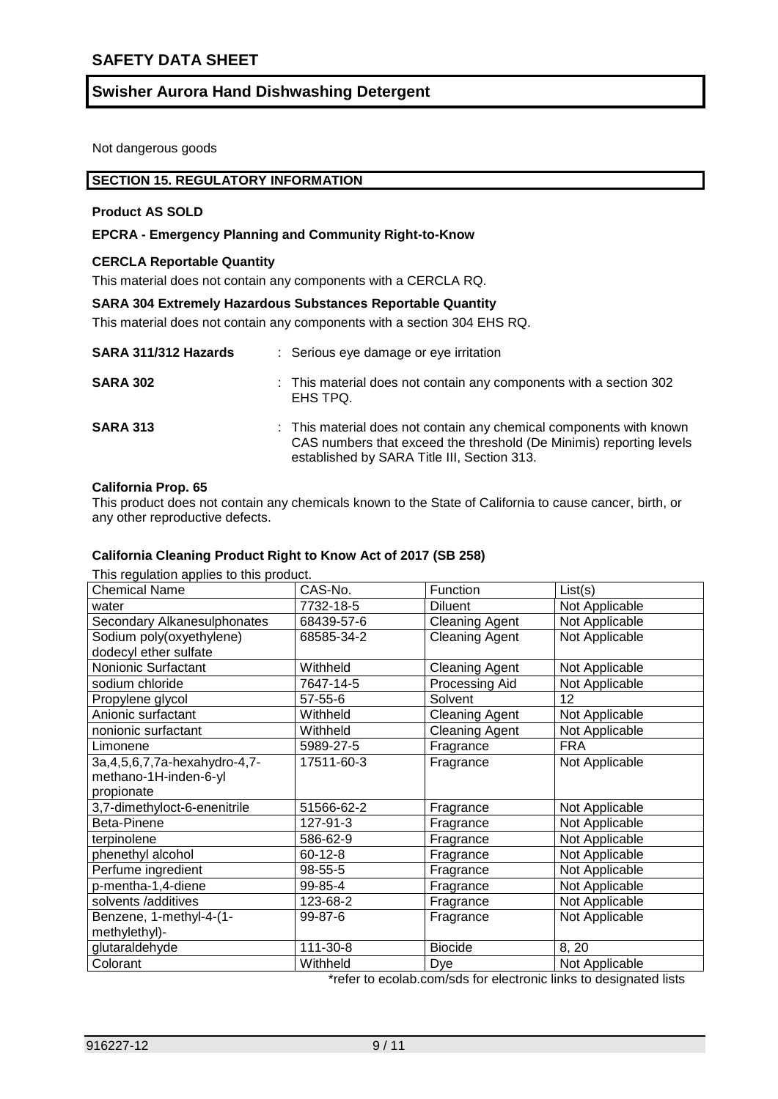Not dangerous goods

#### **SECTION 15. REGULATORY INFORMATION**

#### **Product AS SOLD**

### **EPCRA - Emergency Planning and Community Right-to-Know**

#### **CERCLA Reportable Quantity**

This material does not contain any components with a CERCLA RQ.

#### **SARA 304 Extremely Hazardous Substances Reportable Quantity**

This material does not contain any components with a section 304 EHS RQ.

| SARA 311/312 Hazards | : Serious eye damage or eye irritation                                                                                                                                                    |
|----------------------|-------------------------------------------------------------------------------------------------------------------------------------------------------------------------------------------|
| <b>SARA 302</b>      | : This material does not contain any components with a section 302<br>EHS TPQ.                                                                                                            |
| <b>SARA 313</b>      | : This material does not contain any chemical components with known<br>CAS numbers that exceed the threshold (De Minimis) reporting levels<br>established by SARA Title III, Section 313. |

#### **California Prop. 65**

This product does not contain any chemicals known to the State of California to cause cancer, birth, or any other reproductive defects.

#### **California Cleaning Product Right to Know Act of 2017 (SB 258)**

This regulation applies to this product.

| This regulation applies to this product.<br><b>Chemical Name</b> | CAS-No.       | Function              | List(s)        |
|------------------------------------------------------------------|---------------|-----------------------|----------------|
| water                                                            | 7732-18-5     | <b>Diluent</b>        | Not Applicable |
| Secondary Alkanesulphonates                                      | 68439-57-6    | <b>Cleaning Agent</b> | Not Applicable |
| Sodium poly(oxyethylene)                                         | 68585-34-2    | <b>Cleaning Agent</b> | Not Applicable |
| dodecyl ether sulfate                                            |               |                       |                |
| Nonionic Surfactant                                              | Withheld      | <b>Cleaning Agent</b> | Not Applicable |
| sodium chloride                                                  | 7647-14-5     | Processing Aid        | Not Applicable |
| Propylene glycol                                                 | $57 - 55 - 6$ | Solvent               | 12             |
| Anionic surfactant                                               | Withheld      | <b>Cleaning Agent</b> | Not Applicable |
| nonionic surfactant                                              | Withheld      | <b>Cleaning Agent</b> | Not Applicable |
| Limonene                                                         | 5989-27-5     | Fragrance             | <b>FRA</b>     |
| 3a, 4, 5, 6, 7, 7a-hexahydro-4, 7-                               | 17511-60-3    | Fragrance             | Not Applicable |
| methano-1H-inden-6-yl                                            |               |                       |                |
| propionate                                                       |               |                       |                |
| 3,7-dimethyloct-6-enenitrile                                     | 51566-62-2    | Fragrance             | Not Applicable |
| Beta-Pinene                                                      | 127-91-3      | Fragrance             | Not Applicable |
| terpinolene                                                      | 586-62-9      | Fragrance             | Not Applicable |
| phenethyl alcohol                                                | $60 - 12 - 8$ | Fragrance             | Not Applicable |
| Perfume ingredient                                               | 98-55-5       | Fragrance             | Not Applicable |
| p-mentha-1,4-diene                                               | 99-85-4       | Fragrance             | Not Applicable |
| solvents /additives                                              | 123-68-2      | Fragrance             | Not Applicable |
| Benzene, 1-methyl-4-(1-                                          | 99-87-6       | Fragrance             | Not Applicable |
| methylethyl)-                                                    |               |                       |                |
| glutaraldehyde                                                   | 111-30-8      | <b>Biocide</b>        | 8, 20          |
| Colorant                                                         | Withheld      | Dye                   | Not Applicable |

\*refer to ecolab.com/sds for electronic links to designated lists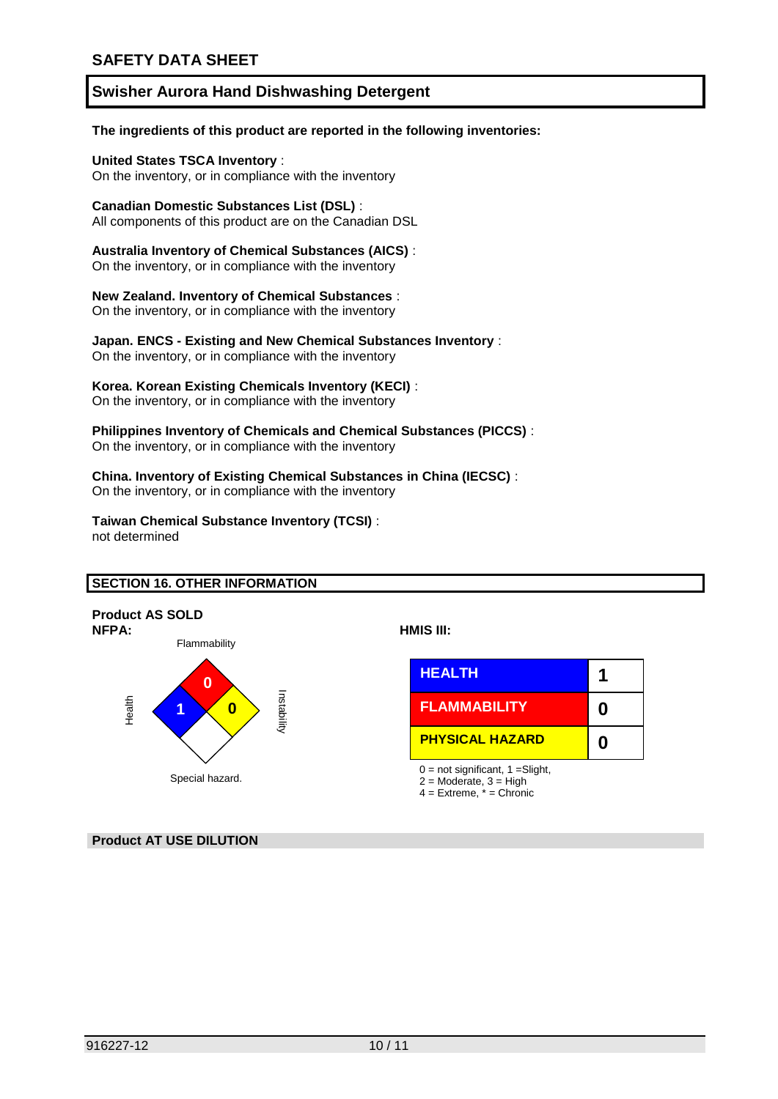#### **The ingredients of this product are reported in the following inventories:**

**United States TSCA Inventory** :

On the inventory, or in compliance with the inventory

### **Canadian Domestic Substances List (DSL)** :

All components of this product are on the Canadian DSL

**Australia Inventory of Chemical Substances (AICS)** : On the inventory, or in compliance with the inventory

**New Zealand. Inventory of Chemical Substances** :

On the inventory, or in compliance with the inventory

**Japan. ENCS - Existing and New Chemical Substances Inventory** :

On the inventory, or in compliance with the inventory

### **Korea. Korean Existing Chemicals Inventory (KECI)** :

On the inventory, or in compliance with the inventory

#### **Philippines Inventory of Chemicals and Chemical Substances (PICCS)** : On the inventory, or in compliance with the inventory

# **China. Inventory of Existing Chemical Substances in China (IECSC)** :

On the inventory, or in compliance with the inventory

### **Taiwan Chemical Substance Inventory (TCSI)** :

not determined

## **SECTION 16. OTHER INFORMATION**



### **Product AT USE DILUTION**